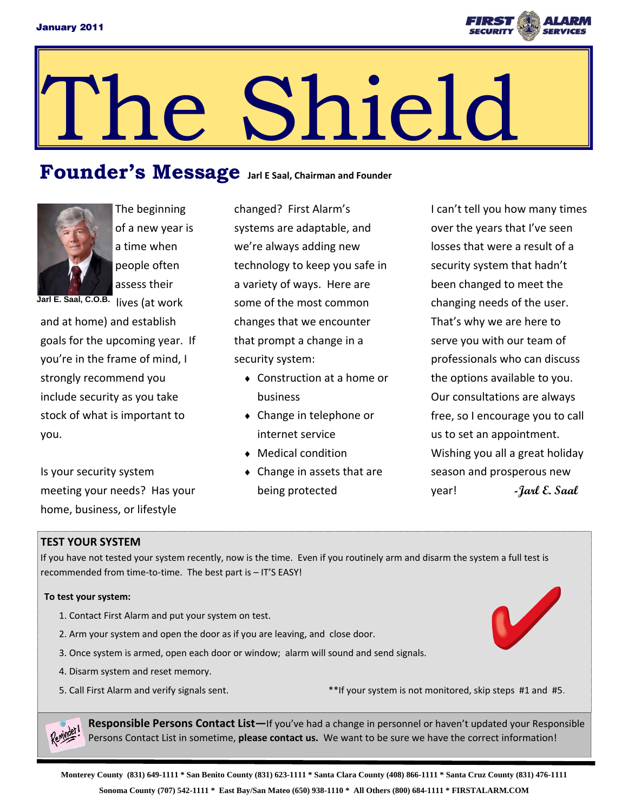

# The Shield

# **Founder's Message Jarl <sup>E</sup> Saal, Chairman and Founder**



The beginning of a new year is a time when people often assess their Jarl E. Saal, C.O.B. <sub>liVes</sub> (at work

and at home) and establish goals for the upcoming year. If you're in the frame of mind, I strongly recommend you include security as you take stock of what is important to you.

Is your security system meeting your needs? Has your home, business, or lifestyle

changed? First Alarm's systems are adaptable, and we're always adding new technology to keep you safe in a variety of ways. Here are some of the most common changes that we encounter that prompt a change in a security system:

- Construction at a home or business
- Change in telephone or internet service
- Medical condition
- Change in assets that are being protected

I can't tell you how many times over the years that I've seen losses that were a result of a security system that hadn't been changed to meet the changing needs of the user. That's why we are here to serve you with our team of professionals who can discuss the options available to you. Our consultations are always free, so I encourage you to call us to set an appointment. Wishing you all a great holiday season and prosperous new year! **-Jarl E. Saal**

#### **TEST YOUR SYSTEM**

If you have not tested your system recently, now is the time. Even if you routinely arm and disarm the system a full test is recommended from time‐to‐time. The best part is – IT'S EASY!

#### **To test your system:**

- 1. Contact First Alarm and put your system on test.
- 2. Arm your system and open the door as if you are leaving, and close door.
- 3. Once system is armed, open each door or window; alarm will sound and send signals.
- 4. Disarm system and reset memory.
- 
- 5. Call First Alarm and verify signals sent.  $*$   $*$  If your system is not monitored, skip steps #1 and #5.

**Responsible Persons Contact List—**If you've had a change in personnel or haven't updated your Responsible Persons Contact List in sometime, **please contact us.** We want to be sure we have the correct information!